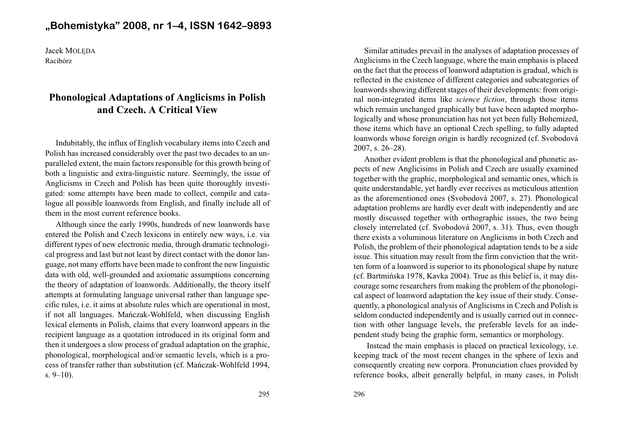## **"Bohemistyka" 2008, nr 1–4, ISSN 1642–9893**

Jacek MOLÊDARacibórz

## **Phonological Adaptations of Anglicisms in Polishand Czech. A Critical View**

Indubitably, the influx of English vocabulary items into Czech and Polish has increased considerably over the pas<sup>t</sup> two decades to an un paralleled extent, the main factors responsible for this growth being of both <sup>a</sup> linguistic and extra-linguistic nature. Seemingly, the issue of Anglicisms in Czech and Polish has been quite thoroughly investi gated: some attempts have been made to collect, compile and catalogue all possible loanwords from English, and finally include all ofthem in the most current reference books.

Although since the early 1990s, hundreds of new loanwords have entered the Polish and Czech lexicons in entirely new ways, i.e. via different types of new electronic media, through dramatic technological progress and last but not least by direct contact with the donor lan guage, not many efforts have been made to confront the new linguistic data with old, well-grounded and axiomatic assumptions concerning the theory of adaptation of loanwords. Additionally, the theory itselfattempts at formulating language universal rather than language specific rules, i.e. it aims at absolute rules which are operational in most, if not all languages. Mañczak-Wohlfeld, when discussing English lexical elements in Polish, claims that every loanword appears in the recipient language as <sup>a</sup> quotation introduced in its original form and then it undergoes <sup>a</sup> slow process of gradual adaptation on the graphic, phonological, morphological and/or semantic levels, which is <sup>a</sup> pro cess of transfer rather than substitution (cf. Mañczak-Wohlfeld 1994,  $s. 9-10$ ).

Similar attitudes prevail in the analyses of adaptation processes of Anglicisms in the Czech language, where the main emphasis is placed on the fact that the process of loanword adaptation is gradual, which is reflected in the existence of different categories and subcategories of loanwords showing different stages of their developments: from origi nal non-integrated items like *science fiction*, through those items which remain unchanged graphically but have been adapted morpho logically and whose pronunciation has not ye<sup>t</sup> been fully Bohemized, those items which have an optional Czech spelling, to fully adapted loanwords whose foreign origin is hardly recognized (cf. Svobodová2007, s. 26–28).

Another evident problem is that the phonological and phonetic as pects of new Anglicisims in Polish and Czech are usually examined together with the graphic, morphological and semantic ones, which is quite understandable, ye<sup>t</sup> hardly ever receives as meticulous attention as the aforementioned ones (Svobodová 2007, s. 27). Phonological adaptation problems are hardly ever dealt with independently and are mostly discussed together with orthographic issues, the two being closely interrelated (cf. Svobodová 2007, s. 31). Thus, even though there exists <sup>a</sup> voluminous literature on Anglicisms in both Czech and Polish, the problem of their phonological adaptation tends to be <sup>a</sup> side issue. This situation may result from the firm conviction that the writ ten form of <sup>a</sup> loanword is superior to its phonological shape by nature (cf. Bartmiñska 1978, Kavka 2004). True as this belief is, it may dis courage some researchers from making the problem of the phonologi cal aspec<sup>t</sup> of loanword adaptation the key issue of their study. Conse quently, <sup>a</sup> phonological analysis of Anglicisms in Czech and Polish is seldom conducted independently and is usually carried out in connec tion with other language levels, the preferable levels for an independent study being the graphic form, semantics or morphology.

Instead the main emphasis is placed on practical lexicology, i.e. keeping track of the most recent changes in the sphere of lexis and consequently creating new corpora. Pronunciation clues provided byreference books, albeit generally helpful, in many cases, in Polish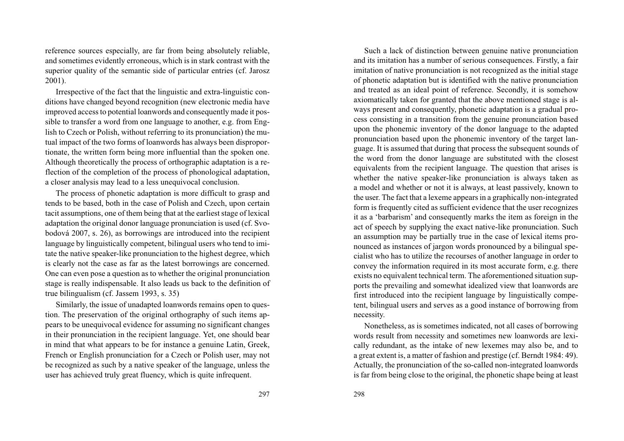reference sources especially, are far from being absolutely reliable, and sometimes evidently erroneous, which is in stark contrast with the superior quality of the semantic side of particular entries (cf. Jarosz2001).

Irrespective of the fact that the linguistic and extra-linguistic con ditions have changed beyond recognition (new electronic media have improved access to potential loanwords and consequently made it pos sible to transfer <sup>a</sup> word from one language to another, e.g. from Eng lish to Czech or Polish, without referring to its pronunciation) the mu tual impact of the two forms of loanwords has always been dispropor tionate, the written form being more influential than the spoken one. Although theoretically the process of orthographic adaptation is <sup>a</sup> re flection of the completion of the process of phonological adaptation, a closer analysis may lead to a less unequivocal conclusion.

The process of phonetic adaptation is more difficult to grasp and tends to be based, both in the case of Polish and Czech, upon certain tacit assumptions, one of them being that at the earliest stage of lexicaladaptation the original donor language pronunciation is used (cf. Svobodová 2007, s. 26), as borrowings are introduced into the recipientlanguage by linguistically competent, bilingual users who tend to imi tate the native speaker-like pronunciation to the highest degree, which is clearly not the case as far as the latest borrowings are concerned. One can even pose <sup>a</sup> question as to whether the original pronunciation stage is really indispensable. It also leads us back to the definition oftrue bilingualism (cf. Jassem 1993, s. 35)

Similarly, the issue of unadapted loanwords remains open to question. The preservation of the original orthography of such items appears to be unequivocal evidence for assuming no significant changes in their pronunciation in the recipient language. Yet, one should bear in mind that what appears to be for instance <sup>a</sup> genuine Latin, Greek, French or English pronunciation for <sup>a</sup> Czech or Polish user, may notbe recognized as such by <sup>a</sup> native speaker of the language, unless theuser has achieved truly great fluency, which is quite infrequent.

Such <sup>a</sup> lack of distinction between genuine native pronunciation and its imitation has <sup>a</sup> number of serious consequences. Firstly, <sup>a</sup> fair imitation of native pronunciation is not recognized as the initial stage of phonetic adaptation but is identified with the native pronunciation and treated as an ideal point of reference. Secondly, it is somehow axiomatically taken for granted that the above mentioned stage is al ways presen<sup>t</sup> and consequently, phonetic adaptation is <sup>a</sup> gradual pro cess consisting in <sup>a</sup> transition from the genuine pronunciation based upon the phonemic inventory of the donor language to the adapted pronunciation based upon the phonemic inventory of the target lan guage. It is assumed that during that process the subsequent sounds of the word from the donor language are substituted with the closest equivalents from the recipient language. The question that arises is whether the native speaker-like pronunciation is always taken as <sup>a</sup> model and whether or not it is always, at least passively, known to the user. The fact that <sup>a</sup> lexeme appears in <sup>a</sup> graphically non-integrated form is frequently cited as sufficient evidence that the user recognizes it as <sup>a</sup> 'barbarism' and consequently marks the item as foreign in the act of speech by supplying the exact native-like pronunciation. Such an assumption may be partially true in the case of lexical items pronounced as instances of jargon words pronounced by <sup>a</sup> bilingual specialist who has to utilize the recourses of another language in order to convey the information required in its most accurate form, e.g. there exists no equivalent technical term. The aforementioned situation sup ports the prevailing and somewhat idealized view that loanwords are first introduced into the recipient language by linguistically compe tent, bilingual users and serves as <sup>a</sup> good instance of borrowing fromnecessity.

Nonetheless, as is sometimes indicated, not all cases of borrowing words result from necessity and sometimes new loanwords are lexi cally redundant, as the intake of new lexemes may also be, and to <sup>a</sup> grea<sup>t</sup> extent is, <sup>a</sup> matter of fashion and prestige (cf. Berndt 1984: 49). Actually, the pronunciation of the so-called non-integrated loanwordsis far from being close to the original, the phonetic shape being at least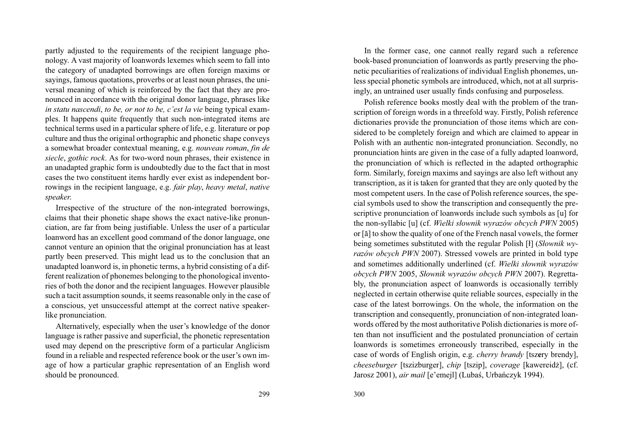partly adjusted to the requirements of the recipient language pho nology. A vast majority of loanwords lexemes which seem to fall into the category of unadapted borrowings are often foreign maxims or sayings, famous quotations, proverbs or at least noun phrases, the uni versal meaning of which is reinforced by the fact that they are pro nounced in accordance with the original donor language, phrases likein statu nascendi, to be, or not to be, c'est la vie being typical examples. It happens quite frequently that such non-integrated items are technical terms used in <sup>a</sup> particular sphere of life, e.g. literature or pop culture and thus the original orthographic and phonetic shape conveys <sup>a</sup> somewhat broader contextual meaning, e.g. *nouveau roman*, *fin de <sup>s</sup>iecle*, *gothic rock*. As for two-word noun phrases, their existence in an unadapted graphic form is undoubtedly due to the fact that in most cases the two constituent items hardly ever exist as independent bor rowings in the recipient language, e.g. *fair <sup>p</sup>lay*, *heavy metal*, *nativespeaker*.

Irrespective of the structure of the non-integrated borrowings, claims that their phonetic shape shows the exact native-like pronunciation, are far from being justifiable. Unless the user of <sup>a</sup> particular loanword has an excellent good command of the donor language, one cannot venture an opinion that the original pronunciation has at least partly been preserved. This might lead us to the conclusion that an unadapted loanword is, in phonetic terms, <sup>a</sup> hybrid consisting of <sup>a</sup> dif ferent realization of phonemes belonging to the phonological invento ries of both the donor and the recipient languages. However plausible such <sup>a</sup> tacit assumption sounds, it seems reasonable only in the case of <sup>a</sup> conscious, ye<sup>t</sup> unsuccessful attempt at the correct native speakerlike pronunciation.

Alternatively, especially when the user's knowledge of the donor language is rather passive and superficial, the phonetic representation used may depend on the prescriptive form of <sup>a</sup> particular Anglicism found in <sup>a</sup> reliable and respected reference book or the user's own im age of how <sup>a</sup> particular graphic representation of an English wordshould be pronounced.

299 300

In the former case, one cannot really regard such <sup>a</sup> reference book-based pronunciation of loanwords as partly preserving the pho netic peculiarities of realizations of individual English phonemes, un less special phonetic symbols are introduced, which, not at all surprisingly, an untrained user usually finds confusing and purposeless.

Polish reference books mostly deal with the problem of the tran scription of foreign words in <sup>a</sup> threefold way. Firstly, Polish reference dictionaries provide the pronunciation of those items which are con sidered to be completely foreign and which are claimed to appear in Polish with an authentic non-integrated pronunciation. Secondly, no pronunciation hints are given in the case of <sup>a</sup> fully adapted loanword, the pronunciation of which is reflected in the adapted orthographic form. Similarly, foreign maxims and sayings are also left without any transcription, as it is taken for granted that they are only quoted by the most competent users. In the case of Polish reference sources, the spe cial symbols used to show the transcription and consequently the prescriptive pronunciation of loanwords include such symbols as [u] for the non-syllabic [u] (cf. *Wielki s³ownik wyrazów obcych PWN* 2005) or [ã] to show the quality of one of the French nasal vowels, the formerbeing sometimes substituted with the regular Polish [³] (*S³ownik wy razów obcych PWN* 2007). Stressed vowels are printed in bold type and sometimes additionally underlined (cf. *Wielki słownik wyrazów obcych PWN*bly, the pronunciation aspect of loanwords is occasionally terribly neglected in certain otherwise quite reliable sources, especially in the case of the latest borrowings. On the whole, the information on the transcription and consequently, pronunciation of non-integrated loan words offered by the most authoritative Polish dictionaries is more of ten than not insufficient and the postulated pronunciation of certain loanwords is sometimes erroneously transcribed, especially in the case of words of English origin, e.g. *cherry brandy* [tsz**<sup>e</sup>**ry brendy], *cheeseburger* [tszizburger], *chip* [tszip], *coverage* [kawereid¿], (cf. Jarosz 2001), *air mail* [e'emejl] (Lubaś, Urbańczyk 1994).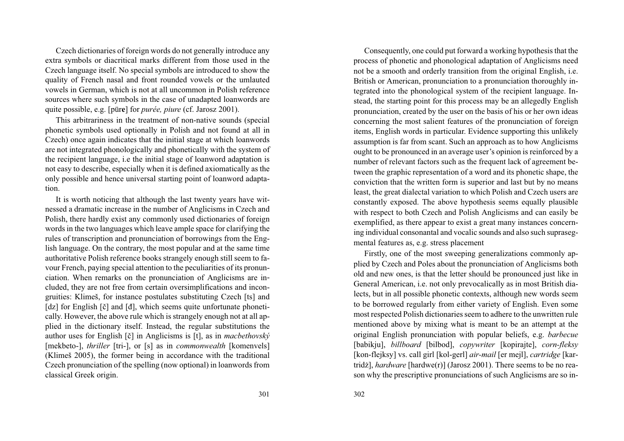Czech dictionaries of foreign words do not generally introduce any extra symbols or diacritical marks different from those used in the Czech language itself. No special symbols are introduced to show the quality of French nasal and front rounded vowels or the umlauted vowels in German, which is not at all uncommon in Polish reference sources where such symbols in the case of unadapted loanwords arequite possible, e.g. [pür**e**] for *purée, piure* (cf. Jarosz 2001).

This arbitrariness in the treatment of non-native sounds (special phonetic symbols used optionally in Polish and not found at all in Czech) once again indicates that the initial stage at which loanwords are not integrated phonologically and phonetically with the system of the recipient language, i.e the initial stage of loanword adaptation is not easy to describe, especially when it is defined axiomatically as the only possible and hence universal starting point of loanword adaptation.

It is worth noticing that although the last twenty years have witnessed <sup>a</sup> dramatic increase in the number of Anglicisms in Czech and Polish, there hardly exist any commonly used dictionaries of foreign words in the two languages which leave ample space for clarifying the rules of transcription and pronunciation of borrowings from the English language. On the contrary, the most popular and at the same time authoritative Polish reference books strangely enough still seem to fa vour French, paying special attention to the peculiarities of its pronun ciation. When remarks on the pronunciation of Anglicisms are in cluded, they are not free from certain oversimplifications and incon gruities: Klimeš, for instance postulates substituting Czech [ts] and [dz] for English [è] and [ð], which seems quite unfortunate phoneti cally. However, the above rule which is strangely enough not at all ap plied in the dictionary itself. Instead, the regular substitutions the author uses for English [è] in Anglicisms is [t], as in *macbethovský* [mekbeto-], *thriller* [tri-], or [s] as in *commonwealth* [komenvels] (Klimeš 2005), the former being in accordance with the traditional Czech pronunciation of the spelling (now optional) in loanwords fromclassical Greek origin.

Consequently, one could pu<sup>t</sup> forward <sup>a</sup> working hypothesis that the process of phonetic and phonological adaptation of Anglicisms need not be <sup>a</sup> smooth and orderly transition from the original English, i.e. British or American, pronunciation to <sup>a</sup> pronunciation thoroughly in tegrated into the phonological system of the recipient language. In stead, the starting point for this process may be an allegedly English pronunciation, created by the user on the basis of his or her own ideas concerning the most salient features of the pronunciation of foreign items, English words in particular. Evidence supporting this unlikely assumption is far from scant. Such an approach as to how Anglicisms ought to be pronounced in an average user's opinion is reinforced by <sup>a</sup> number of relevant factors such as the frequent lack of agreemen<sup>t</sup> be tween the graphic representation of <sup>a</sup> word and its phonetic shape, the conviction that the written form is superior and last but by no means least, the grea<sup>t</sup> dialectal variation to which Polish and Czech users are constantly exposed. The above hypothesis seems equally plausible with respec<sup>t</sup> to both Czech and Polish Anglicisms and can easily be exemplified, as there appear to exist <sup>a</sup> grea<sup>t</sup> many instances concerning individual consonantal and vocalic sounds and also such suprasegmental features as, e.g. stress placement

Firstly, one of the most sweeping generalizations commonly ap plied by Czech and Poles about the pronunciation of Anglicisms both old and new ones, is that the letter should be pronounced just like in General American, i.e. not only prevocalically as in most British dialects, but in all possible phonetic contexts, although new words seem to be borrowed regularly from either variety of English. Even some most respected Polish dictionaries seem to adhere to the unwritten rule mentioned above by mixing what is meant to be an attempt at the original English pronunciation with popular beliefs, e.g. *barbecue* [babikju], *billboard* [bilbod], *copywriter* [kopirajte], *corn-fleksy* [kon-flejksy] vs. call girl [kol-gerl] *air-mail* [er mejl], *cartridge* [kar tridż], *hardware* [hardwe(r)] (Jarosz 2001). There seems to be no reason why the prescriptive pronunciations of such Anglicisms are so in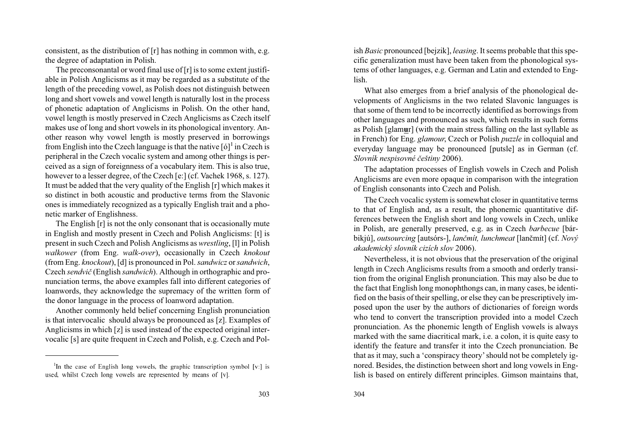consistent, as the distribution of [r] has nothing in common with, e.g. the degree of adaptation in Polish.

 The preconsonantal or word final use of [r] is to some extent justifi able in Polish Anglicisms as it may be regarded as <sup>a</sup> substitute of the length of the preceding vowel, as Polish does not distinguish between long and short vowels and vowel length is naturally lost in the process of phonetic adaptation of Anglicisms in Polish. On the other hand, vowel length is mostly preserved in Czech Anglicisms as Czech itself makes use of long and short vowels in its phonological inventory. An other reason why vowel length is mostly preserved in borrowingsfrom English into the Czech language is that the native  $\left[6\right]^1$  in Czech is peripheral in the Czech vocalic system and among other things is per ceived as <sup>a</sup> sign of foreignness of <sup>a</sup> vocabulary item. This is also true, however to a lesser degree, of the Czech [e:] (cf. Vachek 1968, s. 127). It must be added that the very quality of the English [r] which makes it so distinct in both acoustic and productive terms from the Slavonic ones is immediately recognized as <sup>a</sup> typically English trait and <sup>a</sup> phonetic marker of Englishness.

The English [r] is not the only consonant that is occasionally mute in English and mostly presen<sup>t</sup> in Czech and Polish Anglicisms: [t] is presen<sup>t</sup> in such Czech and Polish Anglicisms as *wrestling*, [l] in Polish *walkower* (from Eng. *walk-over*), occasionally in Czech *knokout* (from Eng. *knockout*), [d] is pronounced in Pol.*sandwicz* or*sandwich*, Czech sendvič (English sandwich). Although in orthographic and pro*nunciation terms, the above examples fall into different categories of*  loanwords, they acknowledge the supremacy of the written form ofthe donor language in the process of loanword adaptation.

Another commonly held belief concerning English pronunciation is that intervocalic should always be pronounced as [z]. Examples of Anglicisms in which [z] is used instead of the expected original intervocalic [s] are quite frequent in Czech and Polish, e.g. Czech and Pol-

as Polish [glamur] (with the main stress falling on the last syllable as in French) for Eng. *<sup>g</sup>lamour*, Czech or Polish *puzzle* in colloquial and everyday language may be pronounced [putsle] as in German (cf. *Slovník nespisovné èeštiny* 2006).

The adaptation processes of English vowels in Czech and Polish Anglicisms are even more opaque in comparison with the integrationof English consonants into Czech and Polish.

The Czech vocalic system is somewhat closer in quantitative terms to that of English and, as <sup>a</sup> result, the phonemic quantitative differences between the English short and long vowels in Czech, unlike in Polish, are generally preserved, e.g. as in Czech *barbecue* [bárbikjú], *outsourcing* [autsórs-], *lanèmít, lunchmeat* [lanèmít] (cf. *Nový akademický slovník cizích slov* 2006).

is *Basic* pronounced (bejain), *leasing*, *l* scenario probable that this specified the specified propartization must have been taken from the phonological systems of other languages, e.g. German and Latin and extended t Nevertheless, it is not obvious that the preservation of the original length in Czech Anglicisms results from <sup>a</sup> smooth and orderly transi tion from the original English pronunciation. This may also be due to the fact that English long monophthongs can, in many cases, be identi fied on the basis of their spelling, or else they can be prescriptively im posed upon the user by the authors of dictionaries of foreign words who tend to convert the transcription provided into <sup>a</sup> model Czech pronunciation. As the phonemic length of English vowels is always marked with the same diacritical mark, i.e. <sup>a</sup> colon, it is quite easy to identify the feature and transfer it into the Czech pronunciation. Be that as it may, such <sup>a</sup> 'conspiracy theory' should not be completely ig nored. Besides, the distinction between short and long vowels in English is based on entirely different principles. Gimson maintains that,

<sup>&</sup>lt;sup>1</sup>In the case of English long vowels, the graphic transcription symbol [v:] is used, whilst Czech long vowels are represented by means of  $[v]$ .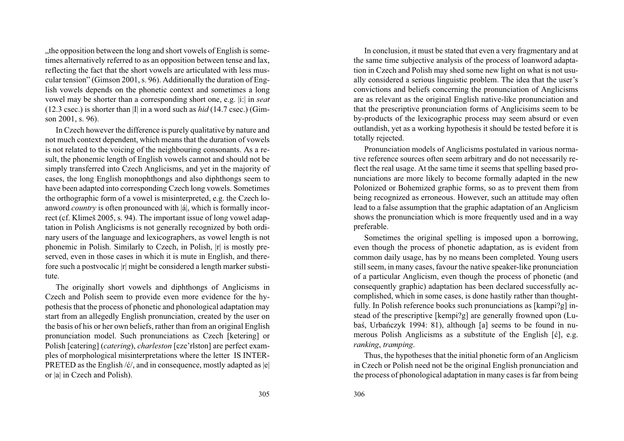"the opposition between the long and short vowels of English is some times alternatively referred to as an opposition between tense and lax, reflecting the fact that the short vowels are articulated with less mus cular tension" (Gimson 2001, s. 96). Additionally the duration of Eng lish vowels depends on the phonetic context and sometimes <sup>a</sup> long vowel may be shorter than <sup>a</sup> corresponding short one, e.g. |i:| in *seat* (12.3 csec.) is shorter than |I| in <sup>a</sup> word such as *hid* (14.7 csec.) (Gim son 2001, s. 96).

In Czech however the difference is purely qualitative by nature and not much context dependent, which means that the duration of vowels is not related to the voicing of the neighbouring consonants. As <sup>a</sup> re sult, the phonemic length of English vowels cannot and should not be simply transferred into Czech Anglicisms, and ye<sup>t</sup> in the majority of cases, the long English monophthongs and also diphthongs seem to have been adapted into corresponding Czech long vowels. Sometimes the orthographic form of <sup>a</sup> vowel is misinterpreted, e.g. the Czech loanword *country* is often pronounced with |á|, which is formally incorrect (cf. Klimeš 2005, s. 94). The important issue of long vowel adaptation in Polish Anglicisms is not generally recognized by both ordinary users of the language and lexicographers, as vowel length is notphonemic in Polish. Similarly to Czech, in Polish, |r| is mostly preserved, even in those cases in which it is mute in English, and therefore such a postvocalic |r| might be considered a length marker substitute.

The originally short vowels and diphthongs of Anglicisms in Czech and Polish seem to provide even more evidence for the hy pothesis that the process of phonetic and phonological adaptation may start from an allegedly English pronunciation, created by the user on the basis of his or her own beliefs, rather than from an original English pronunciation model. Such pronunciations as Czech [ketering] or Polish [catering] (*catering*), *charleston* [cze'rlston] are perfect exam ples of morphological misinterpretations where the letter IS INTER-PRETED as the English  $/6/$ , and in consequence, mostly adapted as  $|e|$ or |a| in Czech and Polish).

In conclusion, it must be stated that even <sup>a</sup> very fragmentary and at the same time subjective analysis of the process of loanword adapta tion in Czech and Polish may shed some new light on what is not usu ally considered <sup>a</sup> serious linguistic problem. The idea that the user's convictions and beliefs concerning the pronunciation of Anglicisms are as relevant as the original English native-like pronunciation and that the prescriptive pronunciation forms of Anglicisims seem to be by-products of the lexicographic process may seem absurd or even outlandish, ye<sup>t</sup> as <sup>a</sup> working hypothesis it should be tested before it istotally rejected.

Pronunciation models of Anglicisms postulated in various norma tive reference sources often seem arbitrary and do not necessarily re flect the real usage. At the same time it seems that spelling based pro nunciations are more likely to become formally adapted in the new Polonized or Bohemized graphic forms, so as to preven<sup>t</sup> them from being recognized as erroneous. However, such an attitude may often lead to <sup>a</sup> false assumption that the graphic adaptation of an Anglicism shows the pronunciation which is more frequently used and in <sup>a</sup> waypreferable.

Sometimes the original spelling is imposed upon <sup>a</sup> borrowing, even though the process of phonetic adaptation, as is evident from common daily usage, has by no means been completed. Young users still seem, in many cases, favour the native speaker-like pronunciation of <sup>a</sup> particular Anglicism, even though the process of phonetic (and consequently graphic) adaptation has been declared successfully ac complished, which in some cases, is done hastily rather than thought fully. In Polish reference books such pronunciations as [kampi?g] in stead of the prescriptive [kempi?g] are generally frowned upon (Lubaś, Urbańczyk 1994: 81), although [a] seems to be found in numerous Polish Anglicisms as a substitute of the English [ć], e.g. *ranking*, *tramping*.

Thus, the hypotheses that the initial phonetic form of an Anglicism in Czech or Polish need not be the original English pronunciation andthe process of phonological adaptation in many cases is far from being